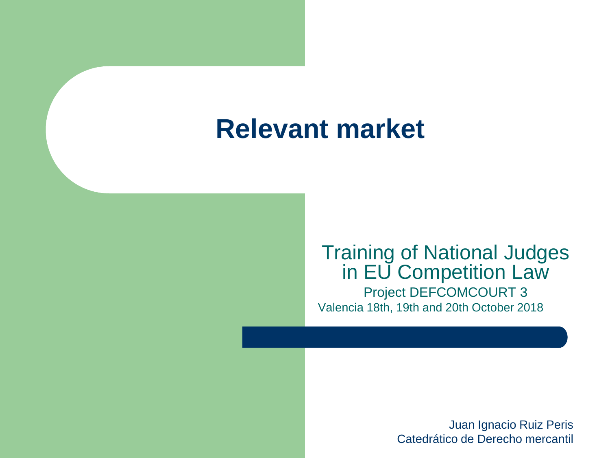### **Relevant market**

#### Training of National Judges in EU Competition Law Project DEFCOMCOURT 3 Valencia 18th, 19th and 20th October 2018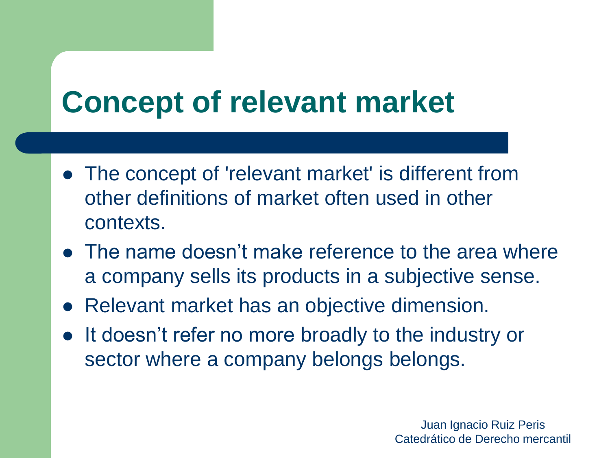### **Concept of relevant market**

- The concept of 'relevant market' is different from other definitions of market often used in other contexts.
- The name doesn't make reference to the area where a company sells its products in a subjective sense.
- Relevant market has an objective dimension.
- It doesn't refer no more broadly to the industry or sector where a company belongs belongs.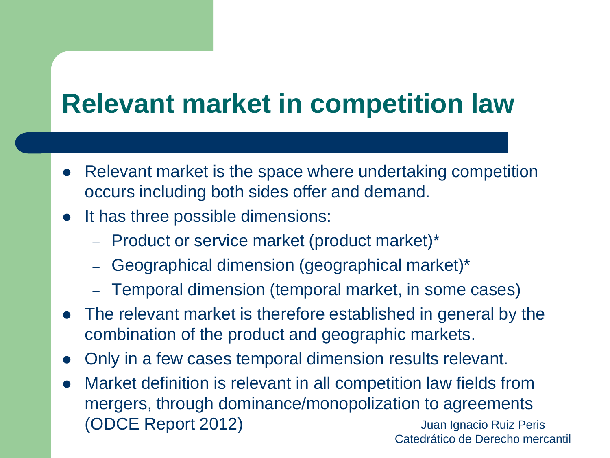### **Relevant market in competition law**

- Relevant market is the space where undertaking competition occurs including both sides offer and demand.
- It has three possible dimensions:
	- Product or service market (product market)\*
	- Geographical dimension (geographical market)\*
	- Temporal dimension (temporal market, in some cases)
- The relevant market is therefore established in general by the combination of the product and geographic markets.
- Only in a few cases temporal dimension results relevant.
- Market definition is relevant in all competition law fields from mergers, through dominance/monopolization to agreements (ODCE Report 2012) Juan Ignacio Ruiz Peris Catedrático de Derecho mercantil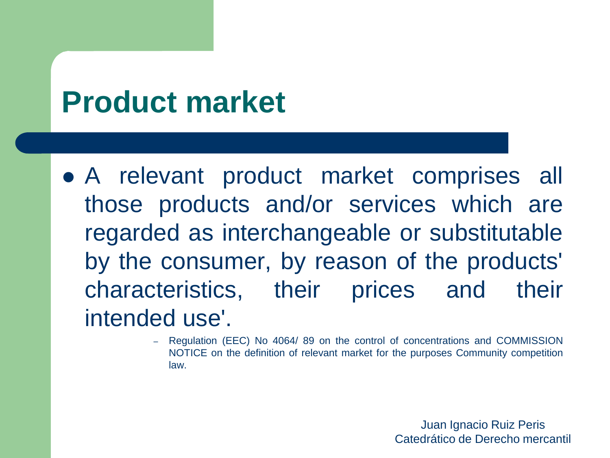### **Product market**

 A relevant product market comprises all those products and/or services which are regarded as interchangeable or substitutable by the consumer, by reason of the products' characteristics, their prices and their intended use'.

> – Regulation (EEC) No 4064/ 89 on the control of concentrations and COMMISSION NOTICE on the definition of relevant market for the purposes Community competition law.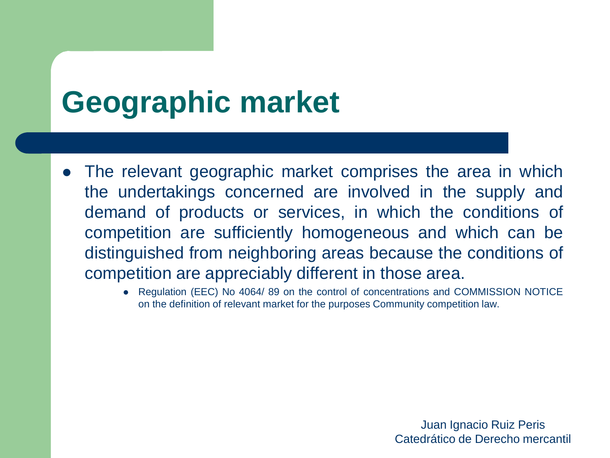## **Geographic market**

- The relevant geographic market comprises the area in which the undertakings concerned are involved in the supply and demand of products or services, in which the conditions of competition are sufficiently homogeneous and which can be distinguished from neighboring areas because the conditions of competition are appreciably different in those area.
	- Regulation (EEC) No 4064/ 89 on the control of concentrations and COMMISSION NOTICE on the definition of relevant market for the purposes Community competition law.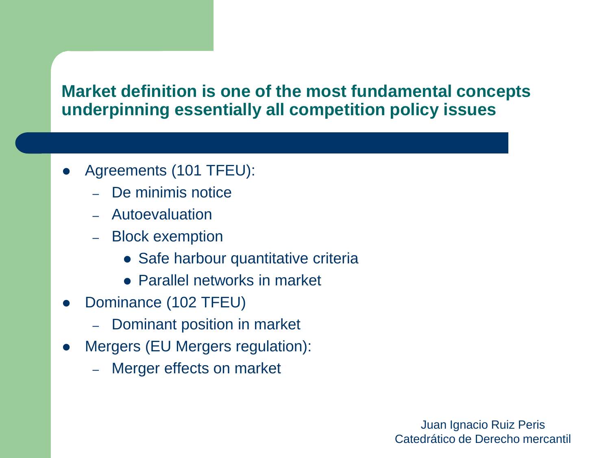#### **Market definition is one of the most fundamental concepts underpinning essentially all competition policy issues**

- Agreements (101 TFEU):
	- De minimis notice
	- Autoevaluation
	- Block exemption
		- Safe harbour quantitative criteria
		- Parallel networks in market
- Dominance (102 TFEU)
	- Dominant position in market
- Mergers (EU Mergers regulation):
	- Merger effects on market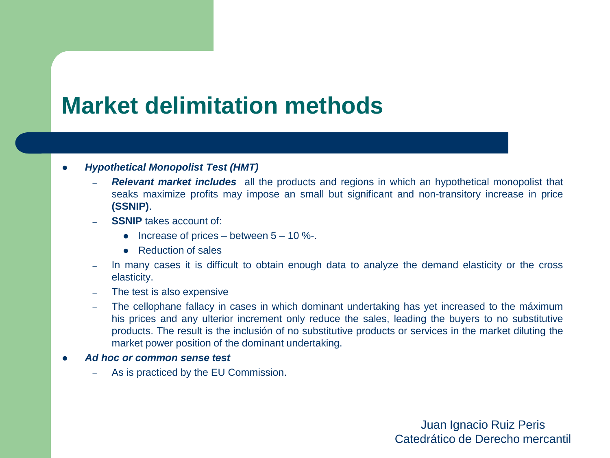### **Market delimitation methods**

#### *Hypothetical Monopolist Test (HMT)*

- *Relevant market includes* all the products and regions in which an hypothetical monopolist that seaks maximize profits may impose an small but significant and non-transitory increase in price **(SSNIP)**.
- **SSNIP** takes account of:
	- Increase of prices between  $5 10$  %-.
	- Reduction of sales
- In many cases it is difficult to obtain enough data to analyze the demand elasticity or the cross elasticity.
- The test is also expensive
- The cellophane fallacy in cases in which dominant undertaking has yet increased to the máximum his prices and any ulterior increment only reduce the sales, leading the buyers to no substitutive products. The result is the inclusión of no substitutive products or services in the market diluting the market power position of the dominant undertaking.
- *Ad hoc or common sense test*
	- As is practiced by the EU Commission.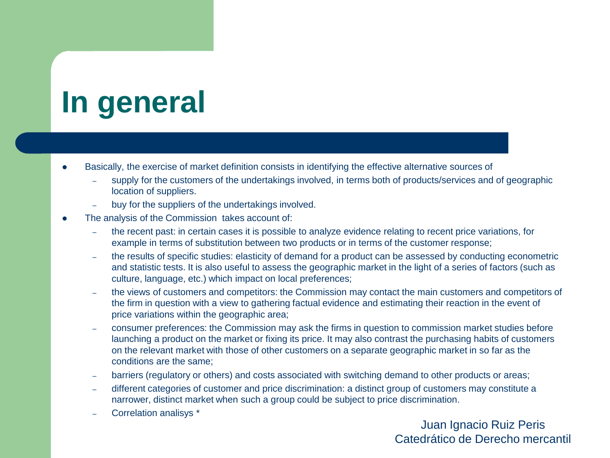# **In general**

- Basically, the exercise of market definition consists in identifying the effective alternative sources of
	- supply for the customers of the undertakings involved, in terms both of products/services and of geographic location of suppliers.
	- buy for the suppliers of the undertakings involved.
- The analysis of the Commission takes account of:
	- the recent past: in certain cases it is possible to analyze evidence relating to recent price variations, for example in terms of substitution between two products or in terms of the customer response;
	- the results of specific studies: elasticity of demand for a product can be assessed by conducting econometric and statistic tests. It is also useful to assess the geographic market in the light of a series of factors (such as culture, language, etc.) which impact on local preferences;
	- the views of customers and competitors: the Commission may contact the main customers and competitors of the firm in question with a view to gathering factual evidence and estimating their reaction in the event of price variations within the geographic area;
	- consumer preferences: the Commission may ask the firms in question to commission market studies before launching a product on the market or fixing its price. It may also contrast the purchasing habits of customers on the relevant market with those of other customers on a separate geographic market in so far as the conditions are the same;
	- barriers (regulatory or others) and costs associated with switching demand to other products or areas;
	- different categories of customer and price discrimination: a distinct group of customers may constitute a narrower, distinct market when such a group could be subject to price discrimination.
	- Correlation analisys \*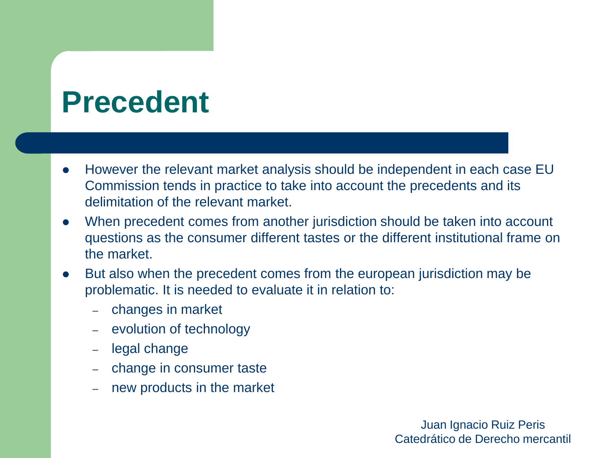### **Precedent**

- However the relevant market analysis should be independent in each case EU Commission tends in practice to take into account the precedents and its delimitation of the relevant market.
- When precedent comes from another jurisdiction should be taken into account questions as the consumer different tastes or the different institutional frame on the market.
- But also when the precedent comes from the european jurisdiction may be problematic. It is needed to evaluate it in relation to:
	- changes in market
	- evolution of technology
	- legal change
	- change in consumer taste
	- new products in the market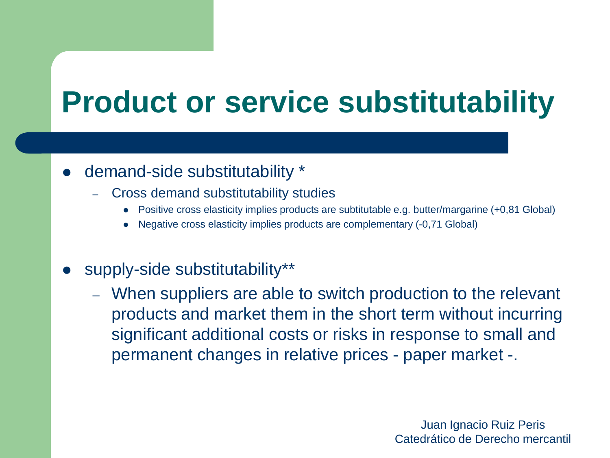### **Product or service substitutability**

#### demand-side substitutability \*

- Cross demand substitutability studies
	- Positive cross elasticity implies products are subtitutable e.g. butter/margarine (+0,81 Global)
	- Negative cross elasticity implies products are complementary (-0,71 Global)

#### supply-side substitutability\*\*

– When suppliers are able to switch production to the relevant products and market them in the short term without incurring significant additional costs or risks in response to small and permanent changes in relative prices - paper market -.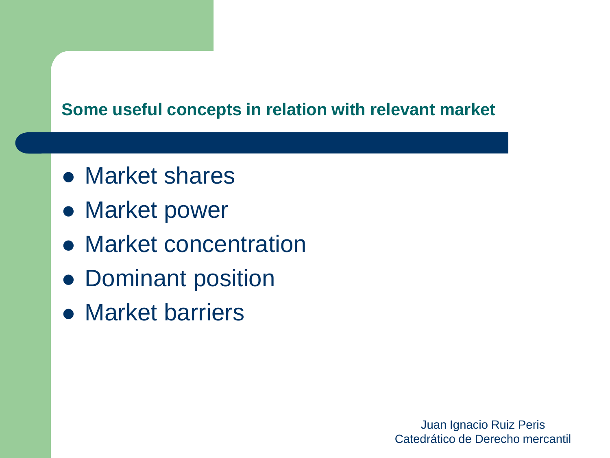### **Some useful concepts in relation with relevant market**

- Market shares
- Market power
- Market concentration
- Dominant position
- **Market barriers**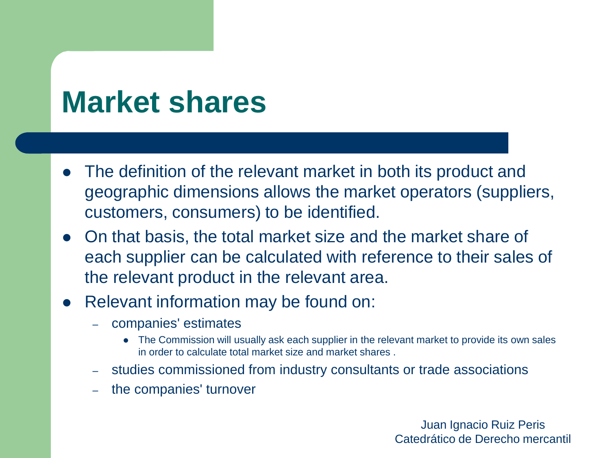### **Market shares**

- The definition of the relevant market in both its product and geographic dimensions allows the market operators (suppliers, customers, consumers) to be identified.
- On that basis, the total market size and the market share of each supplier can be calculated with reference to their sales of the relevant product in the relevant area.
- Relevant information may be found on:
	- companies' estimates
		- The Commission will usually ask each supplier in the relevant market to provide its own sales in order to calculate total market size and market shares .
	- studies commissioned from industry consultants or trade associations
	- the companies' turnover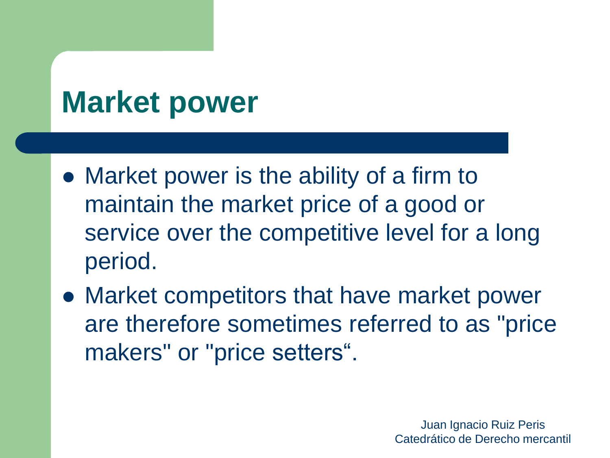### **Market power**

- Market power is the ability of a firm to maintain the market price of a good or service over the competitive level for a long period.
- Market competitors that have market power are therefore sometimes referred to as "price makers" or "price setters".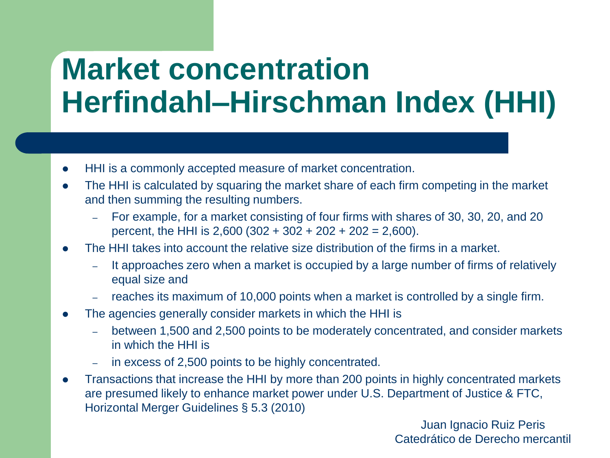### **Market concentration Herfindahl–Hirschman Index (HHI)**

- HHI is a commonly accepted measure of market concentration.
- The HHI is calculated by squaring the market share of each firm competing in the market and then summing the resulting numbers.
	- For example, for a market consisting of four firms with shares of 30, 30, 20, and 20 percent, the HHI is  $2,600(302 + 302 + 202 + 202 = 2,600)$ .
- The HHI takes into account the relative size distribution of the firms in a market.
	- It approaches zero when a market is occupied by a large number of firms of relatively equal size and
	- reaches its maximum of 10,000 points when a market is controlled by a single firm.
- The agencies generally consider markets in which the HHI is
	- between 1,500 and 2,500 points to be moderately concentrated, and consider markets in which the HHI is
	- in excess of 2,500 points to be highly concentrated.
- Transactions that increase the HHI by more than 200 points in highly concentrated markets are presumed likely to enhance market power under U.S. Department of Justice & FTC, Horizontal Merger Guidelines § 5.3 (2010)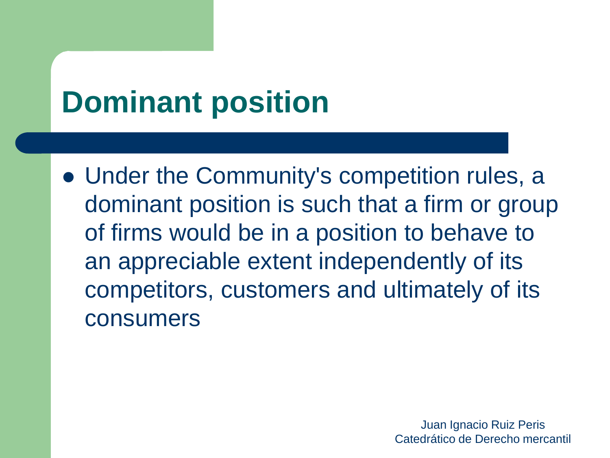# **Dominant position**

 Under the Community's competition rules, a dominant position is such that a firm or group of firms would be in a position to behave to an appreciable extent independently of its competitors, customers and ultimately of its consumers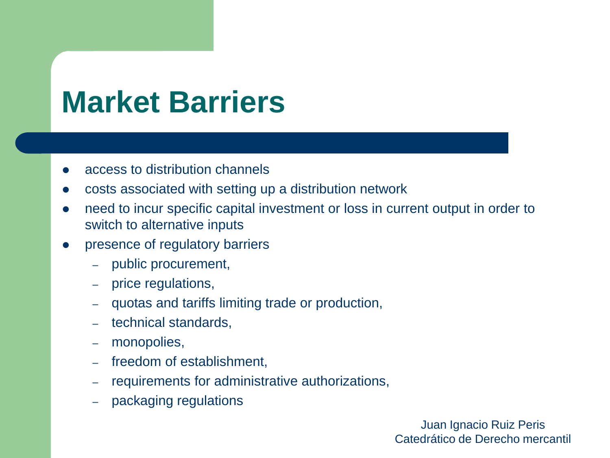### **Market Barriers**

- access to distribution channels
- costs associated with setting up a distribution network
- need to incur specific capital investment or loss in current output in order to switch to alternative inputs
- presence of regulatory barriers
	- public procurement,
	- price regulations,
	- quotas and tariffs limiting trade or production,
	- technical standards,
	- monopolies,
	- freedom of establishment,
	- requirements for administrative authorizations,
	- packaging regulations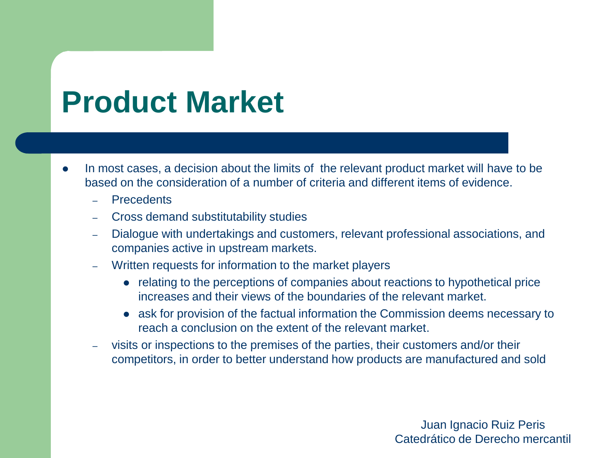### **Product Market**

- In most cases, a decision about the limits of the relevant product market will have to be based on the consideration of a number of criteria and different items of evidence.
	- **Precedents**
	- Cross demand substitutability studies
	- Dialogue with undertakings and customers, relevant professional associations, and companies active in upstream markets.
	- Written requests for information to the market players
		- relating to the perceptions of companies about reactions to hypothetical price increases and their views of the boundaries of the relevant market.
		- ask for provision of the factual information the Commission deems necessary to reach a conclusion on the extent of the relevant market.
	- visits or inspections to the premises of the parties, their customers and/or their competitors, in order to better understand how products are manufactured and sold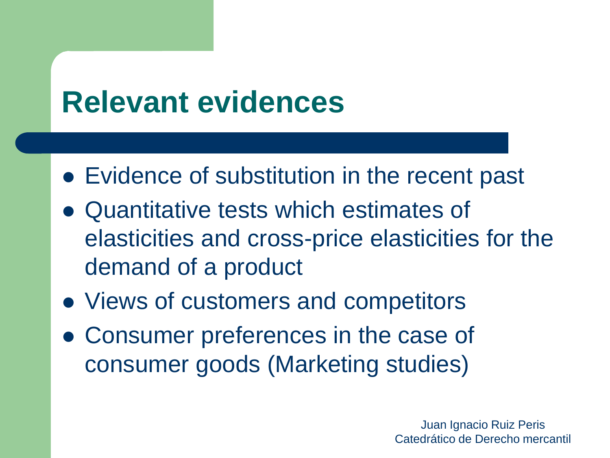### **Relevant evidences**

- Evidence of substitution in the recent past
- Quantitative tests which estimates of elasticities and cross-price elasticities for the demand of a product
- Views of customers and competitors
- Consumer preferences in the case of consumer goods (Marketing studies)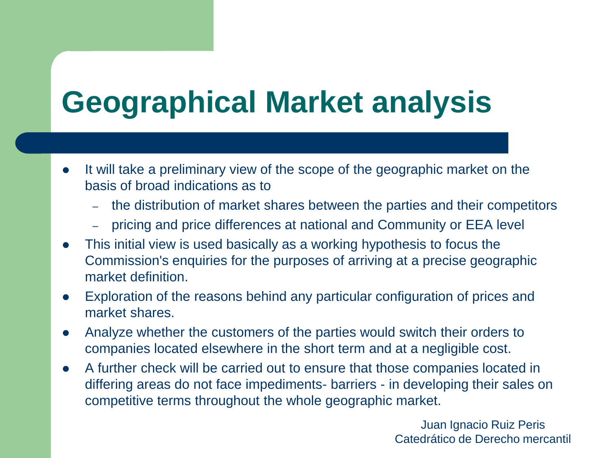# **Geographical Market analysis**

- It will take a preliminary view of the scope of the geographic market on the basis of broad indications as to
	- the distribution of market shares between the parties and their competitors
	- pricing and price differences at national and Community or EEA level
- This initial view is used basically as a working hypothesis to focus the Commission's enquiries for the purposes of arriving at a precise geographic market definition.
- Exploration of the reasons behind any particular configuration of prices and market shares.
- Analyze whether the customers of the parties would switch their orders to companies located elsewhere in the short term and at a negligible cost.
- A further check will be carried out to ensure that those companies located in differing areas do not face impediments- barriers - in developing their sales on competitive terms throughout the whole geographic market.